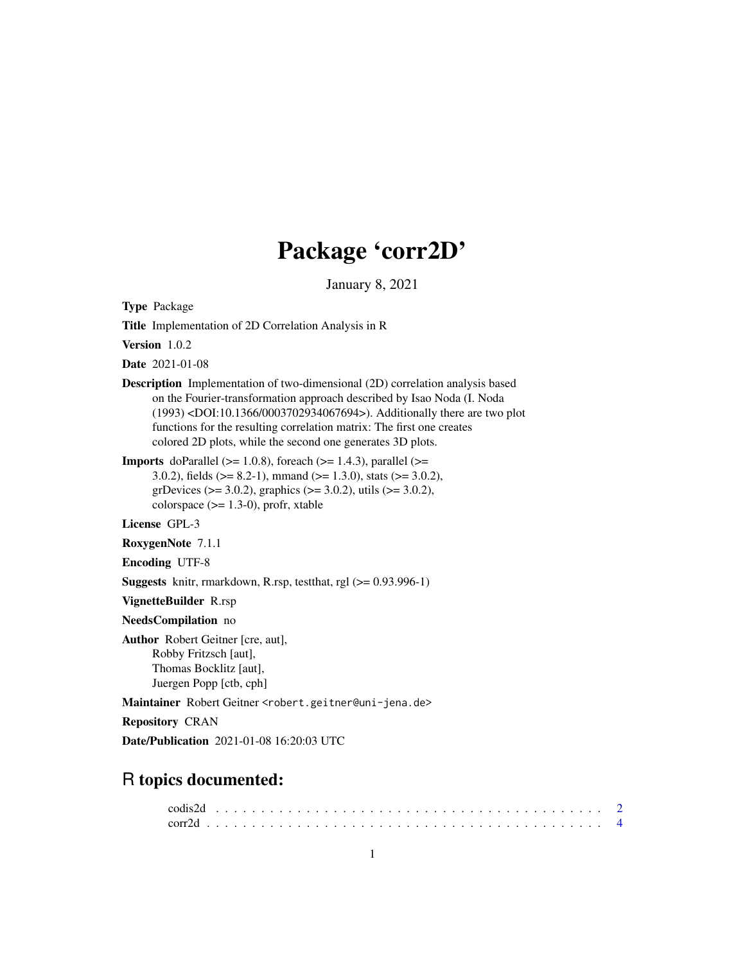# Package 'corr2D'

January 8, 2021

<span id="page-0-0"></span>Type Package

Title Implementation of 2D Correlation Analysis in R

Version 1.0.2

Date 2021-01-08

Description Implementation of two-dimensional (2D) correlation analysis based on the Fourier-transformation approach described by Isao Noda (I. Noda (1993) <DOI:10.1366/0003702934067694>). Additionally there are two plot functions for the resulting correlation matrix: The first one creates colored 2D plots, while the second one generates 3D plots.

**Imports** doParallel ( $> = 1.0.8$ ), foreach ( $> = 1.4.3$ ), parallel ( $> =$ 3.0.2), fields ( $> = 8.2-1$ ), mmand ( $> = 1.3.0$ ), stats ( $> = 3.0.2$ ), grDevices ( $>= 3.0.2$ ), graphics ( $>= 3.0.2$ ), utils ( $>= 3.0.2$ ), colorspace  $(>= 1.3-0)$ , profr, xtable

License GPL-3

RoxygenNote 7.1.1

Encoding UTF-8

Suggests knitr, rmarkdown, R.rsp, testthat, rgl (>= 0.93.996-1)

VignetteBuilder R.rsp

NeedsCompilation no

Author Robert Geitner [cre, aut], Robby Fritzsch [aut], Thomas Bocklitz [aut], Juergen Popp [ctb, cph]

Maintainer Robert Geitner <robert.geitner@uni-jena.de>

Repository CRAN

Date/Publication 2021-01-08 16:20:03 UTC

# R topics documented: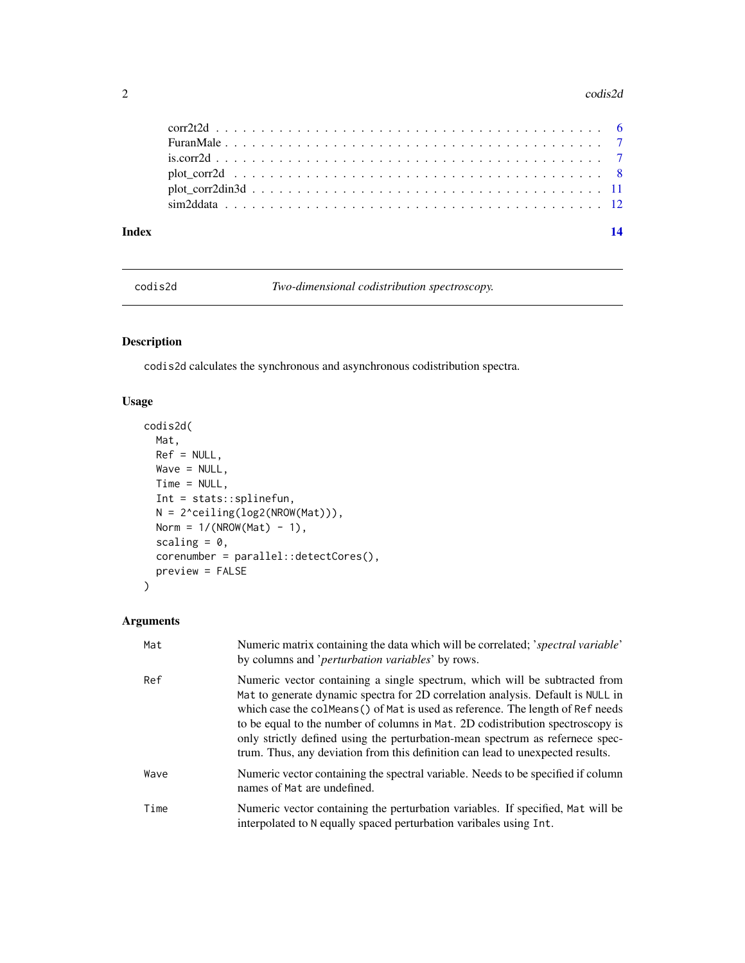#### <span id="page-1-0"></span> $2 \cos(2\theta)$

| Index |                                                                                                                     |  |
|-------|---------------------------------------------------------------------------------------------------------------------|--|
|       |                                                                                                                     |  |
|       |                                                                                                                     |  |
|       | plot corr2d $\dots \dots \dots \dots \dots \dots \dots \dots \dots \dots \dots \dots \dots \dots \dots \dots \dots$ |  |
|       |                                                                                                                     |  |
|       |                                                                                                                     |  |
|       |                                                                                                                     |  |

codis2d *Two-dimensional codistribution spectroscopy.*

# Description

codis2d calculates the synchronous and asynchronous codistribution spectra.

# Usage

```
codis2d(
 Mat,
 Ref = NULL,Wave = NULL,Time = NULL,
 Int = stats::splinefun,
 N = 2^ceiling(log2(NROW(Mat))),
 Norm = 1/(NROW(Mat) - 1),
 scaling = 0,
 corenumber = parallel::detectCores(),
 preview = FALSE
)
```
# Arguments

| Mat  | Numeric matrix containing the data which will be correlated; 'spectral variable'<br>by columns and ' <i>perturbation variables</i> ' by rows.                                                                                                                                                                                                                                                                                                                                                         |
|------|-------------------------------------------------------------------------------------------------------------------------------------------------------------------------------------------------------------------------------------------------------------------------------------------------------------------------------------------------------------------------------------------------------------------------------------------------------------------------------------------------------|
| Ref  | Numeric vector containing a single spectrum, which will be subtracted from<br>Mat to generate dynamic spectra for 2D correlation analysis. Default is NULL in<br>which case the colmeans () of Mat is used as reference. The length of Ref needs<br>to be equal to the number of columns in Mat. 2D codistribution spectroscopy is<br>only strictly defined using the perturbation-mean spectrum as refernece spec-<br>trum. Thus, any deviation from this definition can lead to unexpected results. |
| Wave | Numeric vector containing the spectral variable. Needs to be specified if column<br>names of Mat are undefined.                                                                                                                                                                                                                                                                                                                                                                                       |
| Time | Numeric vector containing the perturbation variables. If specified, Mat will be<br>interpolated to N equally spaced perturbation varibales using Int.                                                                                                                                                                                                                                                                                                                                                 |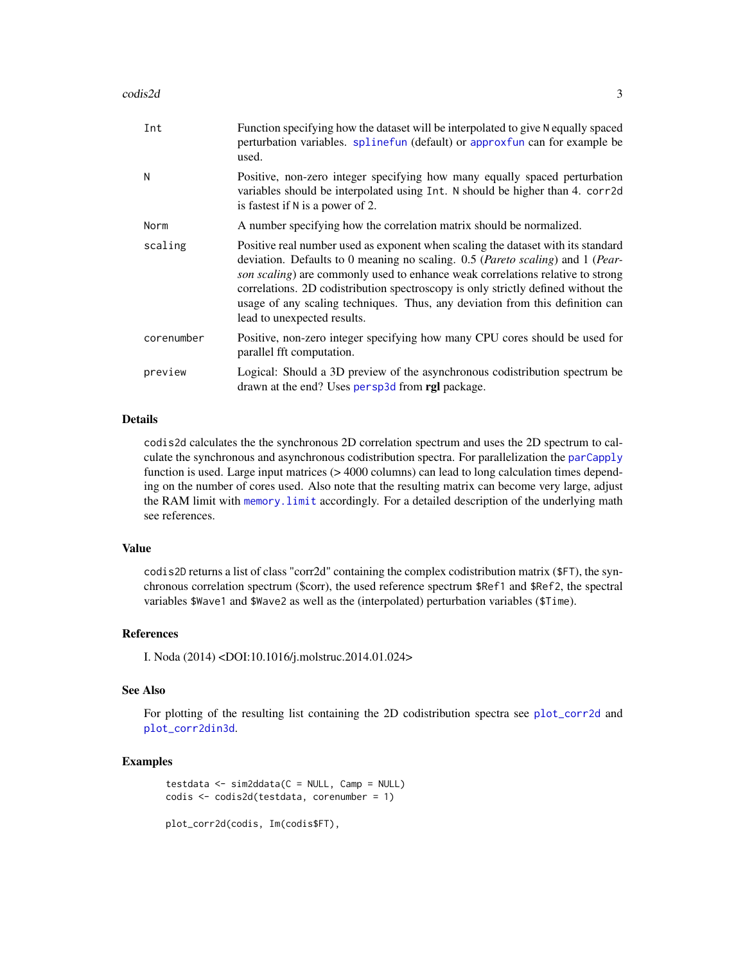#### <span id="page-2-0"></span> $\cosh 2d$  3

| Int        | Function specifying how the dataset will be interpolated to give N equally spaced<br>perturbation variables. splinefun (default) or approxfun can for example be<br>used.                                                                                                                                                                                                                                                                                 |
|------------|-----------------------------------------------------------------------------------------------------------------------------------------------------------------------------------------------------------------------------------------------------------------------------------------------------------------------------------------------------------------------------------------------------------------------------------------------------------|
| N          | Positive, non-zero integer specifying how many equally spaced perturbation<br>variables should be interpolated using Int. N should be higher than 4. corr2d<br>is fastest if $N$ is a power of 2.                                                                                                                                                                                                                                                         |
| Norm       | A number specifying how the correlation matrix should be normalized.                                                                                                                                                                                                                                                                                                                                                                                      |
| scaling    | Positive real number used as exponent when scaling the dataset with its standard<br>deviation. Defaults to 0 meaning no scaling. 0.5 (Pareto scaling) and 1 (Pear-<br>son scaling) are commonly used to enhance weak correlations relative to strong<br>correlations. 2D codistribution spectroscopy is only strictly defined without the<br>usage of any scaling techniques. Thus, any deviation from this definition can<br>lead to unexpected results. |
| corenumber | Positive, non-zero integer specifying how many CPU cores should be used for<br>parallel fft computation.                                                                                                                                                                                                                                                                                                                                                  |
| preview    | Logical: Should a 3D preview of the asynchronous codistribution spectrum be<br>drawn at the end? Uses persp3d from rgl package.                                                                                                                                                                                                                                                                                                                           |

# Details

codis2d calculates the the synchronous 2D correlation spectrum and uses the 2D spectrum to calculate the synchronous and asynchronous codistribution spectra. For parallelization the [parCapply](#page-0-0) function is used. Large input matrices (> 4000 columns) can lead to long calculation times depending on the number of cores used. Also note that the resulting matrix can become very large, adjust the RAM limit with memory. limit accordingly. For a detailed description of the underlying math see references.

### Value

codis2D returns a list of class "corr2d" containing the complex codistribution matrix (\$FT), the synchronous correlation spectrum (\$corr), the used reference spectrum \$Ref1 and \$Ref2, the spectral variables \$Wave1 and \$Wave2 as well as the (interpolated) perturbation variables (\$Time).

#### References

I. Noda (2014) <DOI:10.1016/j.molstruc.2014.01.024>

# See Also

For plotting of the resulting list containing the 2D codistribution spectra see [plot\\_corr2d](#page-7-1) and [plot\\_corr2din3d](#page-10-1).

# Examples

```
testdata <- sim2ddata(C = NULL, Camp = NULL)
codis <- codis2d(testdata, corenumber = 1)
```
plot\_corr2d(codis, Im(codis\$FT),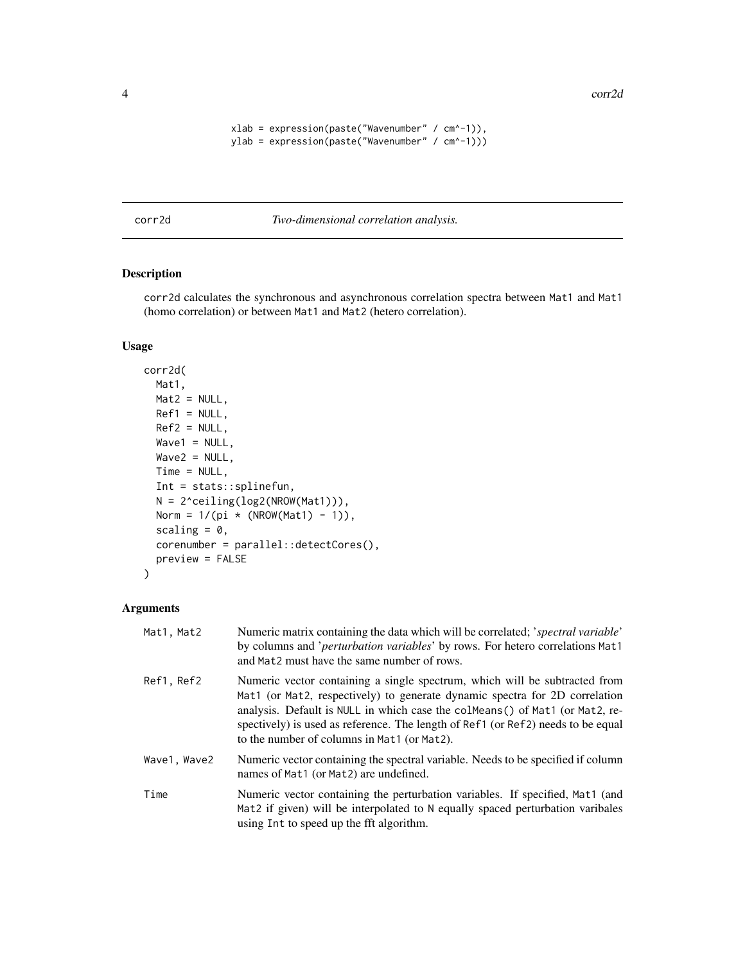<span id="page-3-0"></span>4 corr2d

```
xlab = expression(paste("Wave number" / cm^2-1)),ylab = expression(paste("Wavenumber" / cm^-1)))
```
<span id="page-3-1"></span>corr2d *Two-dimensional correlation analysis.*

# Description

corr2d calculates the synchronous and asynchronous correlation spectra between Mat1 and Mat1 (homo correlation) or between Mat1 and Mat2 (hetero correlation).

# Usage

```
corr2d(
 Mat1,
 Mat2 = NULL,Ref1 = NULL,Ref2 = NULL,Wave1 = NULL,Wave2 = NULL,Time = NULL,
  Int = stats::splinefun,
 N = 2^ceiling(log2(NROW(Mat1))),
 Norm = 1/(pi * (NROW(Mat1) - 1)),scaling = 0,
  corenumber = parallel::detectCores(),
 preview = FALSE
)
```
# Arguments

| Mat1, Mat2   | Numeric matrix containing the data which will be correlated; <i>spectral variable</i><br>by columns and 'perturbation variables' by rows. For hetero correlations Mat1<br>and Mat2 must have the same number of rows.                                                                                                                                                        |
|--------------|------------------------------------------------------------------------------------------------------------------------------------------------------------------------------------------------------------------------------------------------------------------------------------------------------------------------------------------------------------------------------|
| Ref1, Ref2   | Numeric vector containing a single spectrum, which will be subtracted from<br>Mat1 (or Mat2, respectively) to generate dynamic spectra for 2D correlation<br>analysis. Default is NULL in which case the colMeans() of Mat1 (or Mat2, re-<br>spectively) is used as reference. The length of Ref1 (or Ref2) needs to be equal<br>to the number of columns in Mat1 (or Mat2). |
| Wave1, Wave2 | Numeric vector containing the spectral variable. Needs to be specified if column<br>names of Mat1 (or Mat2) are undefined.                                                                                                                                                                                                                                                   |
| Time         | Numeric vector containing the perturbation variables. If specified, Mat1 (and<br>Mat2 if given) will be interpolated to N equally spaced perturbation varibales<br>using Int to speed up the fft algorithm.                                                                                                                                                                  |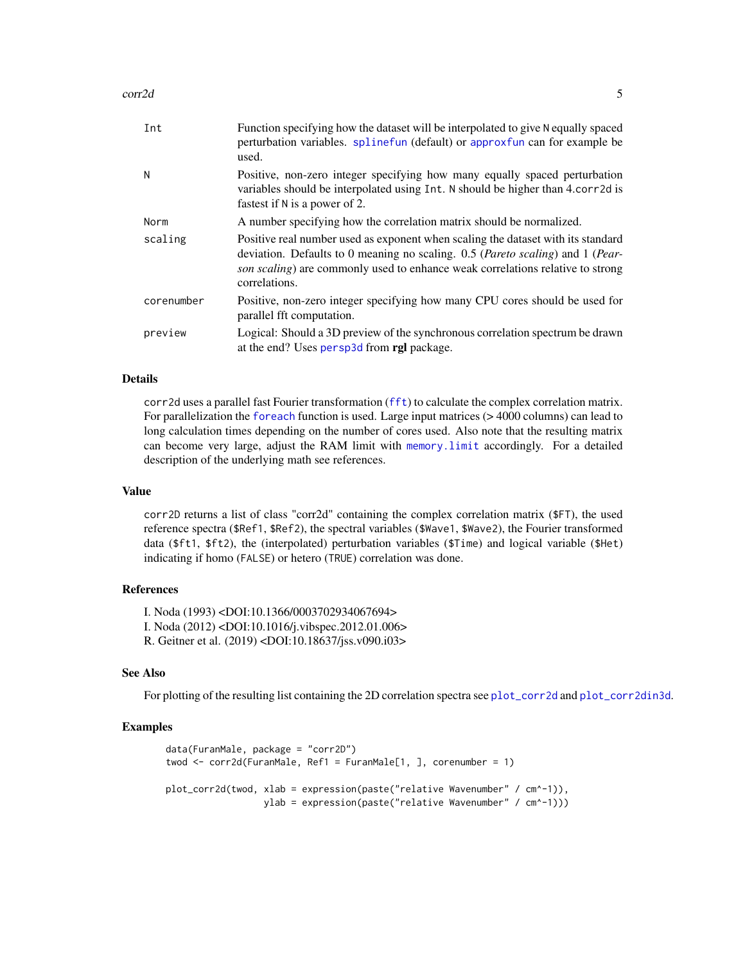#### <span id="page-4-0"></span>corr2d 5

| Int        | Function specifying how the dataset will be interpolated to give N equally spaced<br>perturbation variables. splinefun (default) or approxfun can for example be<br>used.                                                                                             |
|------------|-----------------------------------------------------------------------------------------------------------------------------------------------------------------------------------------------------------------------------------------------------------------------|
| N          | Positive, non-zero integer specifying how many equally spaced perturbation<br>variables should be interpolated using Int. N should be higher than 4.corr2d is<br>fastest if N is a power of 2.                                                                        |
| Norm       | A number specifying how the correlation matrix should be normalized.                                                                                                                                                                                                  |
| scaling    | Positive real number used as exponent when scaling the dataset with its standard<br>deviation. Defaults to 0 meaning no scaling. 0.5 (Pareto scaling) and 1 (Pear-<br>son scaling) are commonly used to enhance weak correlations relative to strong<br>correlations. |
| corenumber | Positive, non-zero integer specifying how many CPU cores should be used for<br>parallel fft computation.                                                                                                                                                              |
| preview    | Logical: Should a 3D preview of the synchronous correlation spectrum be drawn<br>at the end? Uses persp3d from rgl package.                                                                                                                                           |

#### Details

corr2d uses a parallel fast Fourier transformation ([fft](#page-0-0)) to calculate the complex correlation matrix. For parallelization the [foreach](#page-0-0) function is used. Large input matrices ( $> 4000$  columns) can lead to long calculation times depending on the number of cores used. Also note that the resulting matrix can become very large, adjust the RAM limit with [memory.limit](#page-0-0) accordingly. For a detailed description of the underlying math see references.

#### Value

corr2D returns a list of class "corr2d" containing the complex correlation matrix (\$FT), the used reference spectra (\$Ref1, \$Ref2), the spectral variables (\$Wave1, \$Wave2), the Fourier transformed data (\$ft1, \$ft2), the (interpolated) perturbation variables (\$Time) and logical variable (\$Het) indicating if homo (FALSE) or hetero (TRUE) correlation was done.

#### References

I. Noda (1993) <DOI:10.1366/0003702934067694> I. Noda (2012) <DOI:10.1016/j.vibspec.2012.01.006> R. Geitner et al. (2019) <DOI:10.18637/jss.v090.i03>

#### See Also

For plotting of the resulting list containing the 2D correlation spectra see [plot\\_corr2d](#page-7-1) and [plot\\_corr2din3d](#page-10-1).

#### Examples

```
data(FuranMale, package = "corr2D")
twod <- corr2d(FuranMale, Ref1 = FuranMale[1, ], corenumber = 1)
plot_corr2d(twod, xlab = expression(paste("relative Wavenumber" / cm^-1)),
                 ylab = expression(paste("relative Wavenumber" / cm^-1)))
```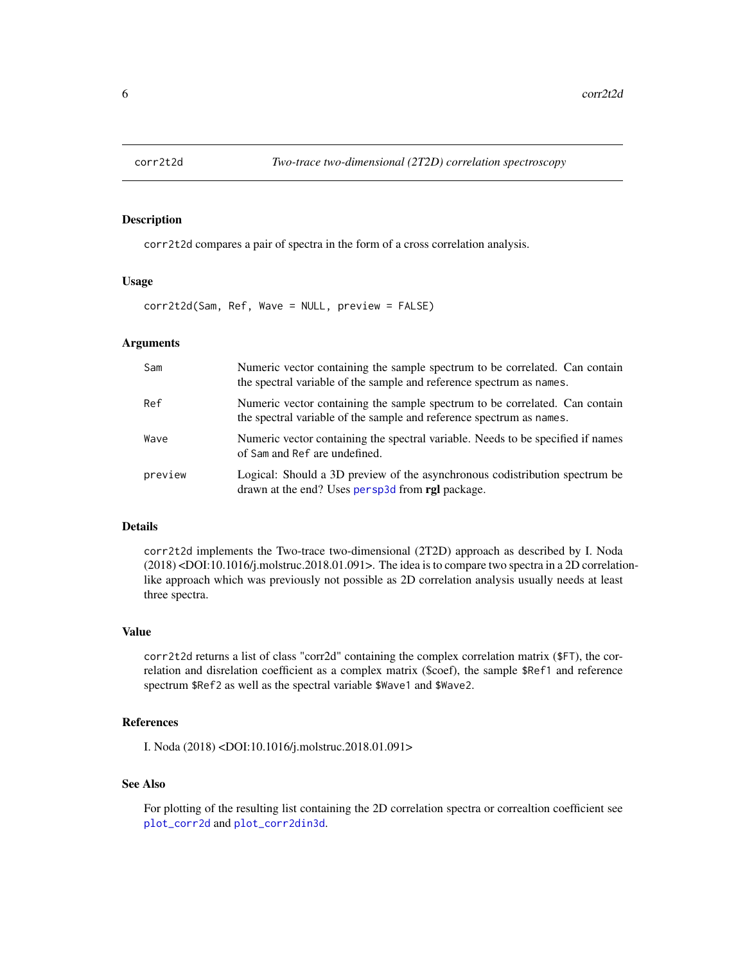<span id="page-5-0"></span>

# Description

corr2t2d compares a pair of spectra in the form of a cross correlation analysis.

#### Usage

corr2t2d(Sam, Ref, Wave = NULL, preview = FALSE)

#### Arguments

| Sam     | Numeric vector containing the sample spectrum to be correlated. Can contain<br>the spectral variable of the sample and reference spectrum as names. |
|---------|-----------------------------------------------------------------------------------------------------------------------------------------------------|
| Ref     | Numeric vector containing the sample spectrum to be correlated. Can contain<br>the spectral variable of the sample and reference spectrum as names. |
| Wave    | Numeric vector containing the spectral variable. Needs to be specified if names<br>of Sam and Ref are undefined.                                    |
| preview | Logical: Should a 3D preview of the asynchronous codistribution spectrum be<br>drawn at the end? Uses persp3d from rgl package.                     |

#### Details

corr2t2d implements the Two-trace two-dimensional (2T2D) approach as described by I. Noda (2018) <DOI:10.1016/j.molstruc.2018.01.091>. The idea is to compare two spectra in a 2D correlationlike approach which was previously not possible as 2D correlation analysis usually needs at least three spectra.

#### Value

corr2t2d returns a list of class "corr2d" containing the complex correlation matrix (\$FT), the correlation and disrelation coefficient as a complex matrix (\$coef), the sample \$Ref1 and reference spectrum \$Ref2 as well as the spectral variable \$Wave1 and \$Wave2.

# References

I. Noda (2018) <DOI:10.1016/j.molstruc.2018.01.091>

# See Also

For plotting of the resulting list containing the 2D correlation spectra or correaltion coefficient see [plot\\_corr2d](#page-7-1) and [plot\\_corr2din3d](#page-10-1).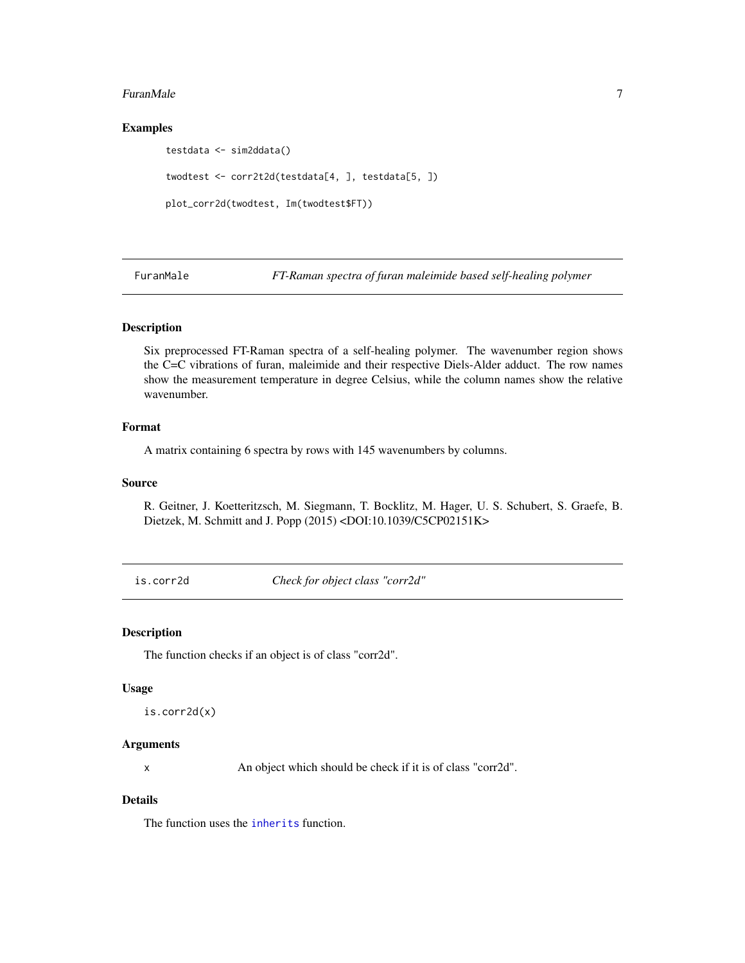#### <span id="page-6-0"></span>FuranMale 2012 2013 2014 2022 2022 2023 2024 2022 2023 2024 2022 2023 2024 2022 2023 2024 2022 2023 2024 2022 2023 2024 2022 2023 2024 2022 2023 2024 2022 2023 2024 2022 2023 2024 2022 2023 2024 2022 2023 2024 2022 2023 20

# Examples

testdata <- sim2ddata() twodtest <- corr2t2d(testdata[4, ], testdata[5, ]) plot\_corr2d(twodtest, Im(twodtest\$FT))

FuranMale *FT-Raman spectra of furan maleimide based self-healing polymer*

# Description

Six preprocessed FT-Raman spectra of a self-healing polymer. The wavenumber region shows the C=C vibrations of furan, maleimide and their respective Diels-Alder adduct. The row names show the measurement temperature in degree Celsius, while the column names show the relative wavenumber.

### Format

A matrix containing 6 spectra by rows with 145 wavenumbers by columns.

#### Source

R. Geitner, J. Koetteritzsch, M. Siegmann, T. Bocklitz, M. Hager, U. S. Schubert, S. Graefe, B. Dietzek, M. Schmitt and J. Popp (2015) <DOI:10.1039/C5CP02151K>

is.corr2d *Check for object class "corr2d"*

#### Description

The function checks if an object is of class "corr2d".

#### Usage

```
is.corr2d(x)
```
#### Arguments

x An object which should be check if it is of class "corr2d".

#### Details

The function uses the [inherits](#page-0-0) function.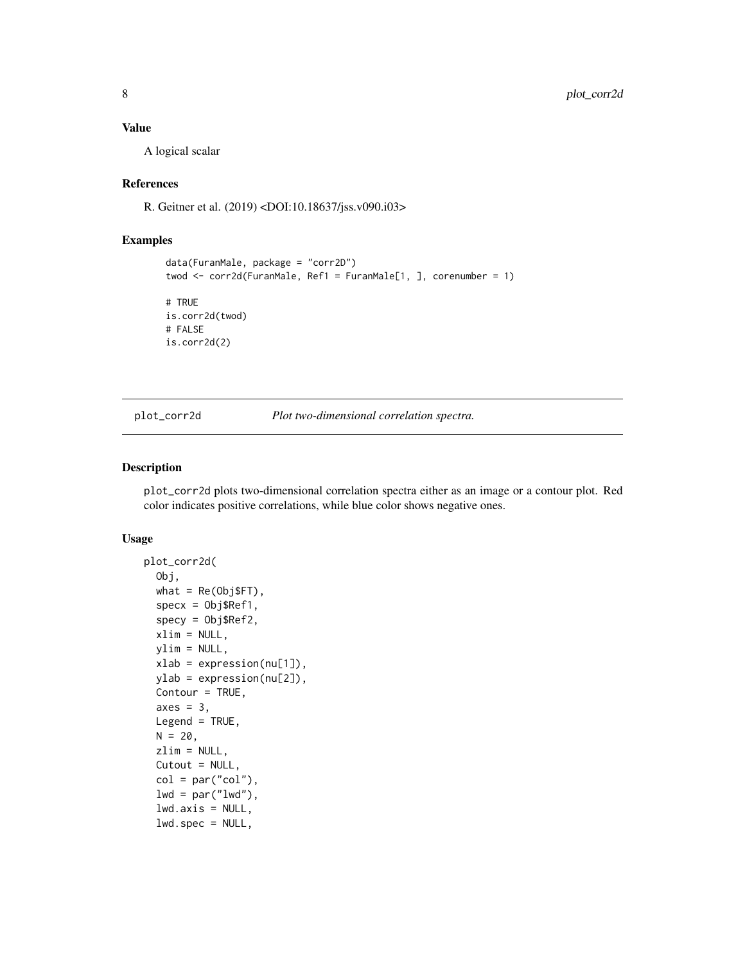#### <span id="page-7-0"></span>Value

A logical scalar

# References

R. Geitner et al. (2019) <DOI:10.18637/jss.v090.i03>

# Examples

```
data(FuranMale, package = "corr2D")
twod \le - corr2d(FuranMale, Ref1 = FuranMale[1, ], corenumber = 1)
# TRUE
is.corr2d(twod)
# FALSE
is.corr2d(2)
```
<span id="page-7-1"></span>

plot\_corr2d *Plot two-dimensional correlation spectra.*

# Description

plot\_corr2d plots two-dimensional correlation spectra either as an image or a contour plot. Red color indicates positive correlations, while blue color shows negative ones.

#### Usage

```
plot_corr2d(
  Obj,
  what = Re(Obj$FT),
  specx = 0bj$Ref1,
  specy = Obj$Ref2,
  xlim = NULL,ylim = NULL,
  xlab = expression(nu[1]),
  ylab = expression(nu[2]),
  Contour = TRUE,
  axes = 3,
  Legend = TRUE,
 N = 20,
  zlim = NULL,
  Cutout = NULL,
  col = par("col"),
  lwd = par("lwd"),
  lwd.axis = NULL,lwd.spec = NULL,
```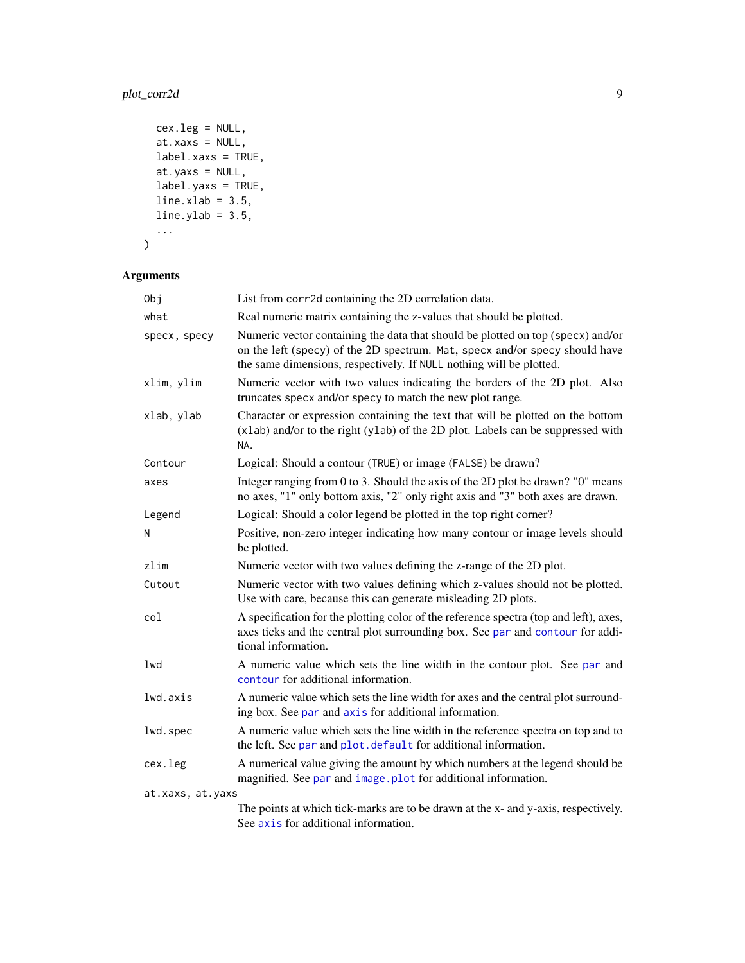# <span id="page-8-0"></span>plot\_corr2d 9

```
cex.leg = NULL,
at.xaxs = NULL,
label.xaxs = TRUE,at.yaxs = NULL,
label.yaxs = TRUE,
line.xlab = 3.5,line.ylab = 3.5,...
```

```
\mathcal{L}
```
# Arguments

| Obj              | List from corr2d containing the 2D correlation data.                                                                                                                                                                                  |
|------------------|---------------------------------------------------------------------------------------------------------------------------------------------------------------------------------------------------------------------------------------|
| what             | Real numeric matrix containing the z-values that should be plotted.                                                                                                                                                                   |
| specx, specy     | Numeric vector containing the data that should be plotted on top (specx) and/or<br>on the left (specy) of the 2D spectrum. Mat, specx and/or specy should have<br>the same dimensions, respectively. If NULL nothing will be plotted. |
| xlim, ylim       | Numeric vector with two values indicating the borders of the 2D plot. Also<br>truncates specx and/or specy to match the new plot range.                                                                                               |
| xlab, ylab       | Character or expression containing the text that will be plotted on the bottom<br>(xlab) and/or to the right (ylab) of the 2D plot. Labels can be suppressed with<br>NA.                                                              |
| Contour          | Logical: Should a contour (TRUE) or image (FALSE) be drawn?                                                                                                                                                                           |
| axes             | Integer ranging from 0 to 3. Should the axis of the 2D plot be drawn? "0" means<br>no axes, "1" only bottom axis, "2" only right axis and "3" both axes are drawn.                                                                    |
| Legend           | Logical: Should a color legend be plotted in the top right corner?                                                                                                                                                                    |
| N                | Positive, non-zero integer indicating how many contour or image levels should<br>be plotted.                                                                                                                                          |
| zlim             | Numeric vector with two values defining the z-range of the 2D plot.                                                                                                                                                                   |
| Cutout           | Numeric vector with two values defining which z-values should not be plotted.<br>Use with care, because this can generate misleading 2D plots.                                                                                        |
| col              | A specification for the plotting color of the reference spectra (top and left), axes,<br>axes ticks and the central plot surrounding box. See par and contour for addi-<br>tional information.                                        |
| lwd              | A numeric value which sets the line width in the contour plot. See par and<br>contour for additional information.                                                                                                                     |
| lwd.axis         | A numeric value which sets the line width for axes and the central plot surround-<br>ing box. See par and axis for additional information.                                                                                            |
| lwd.spec         | A numeric value which sets the line width in the reference spectra on top and to<br>the left. See par and plot. default for additional information.                                                                                   |
| cex.leg          | A numerical value giving the amount by which numbers at the legend should be<br>magnified. See par and image.plot for additional information.                                                                                         |
| at.xaxs, at.yaxs |                                                                                                                                                                                                                                       |
|                  | The points at which tick-marks are to be drawn at the x- and y-axis, respectively.<br>See axis for additional information.                                                                                                            |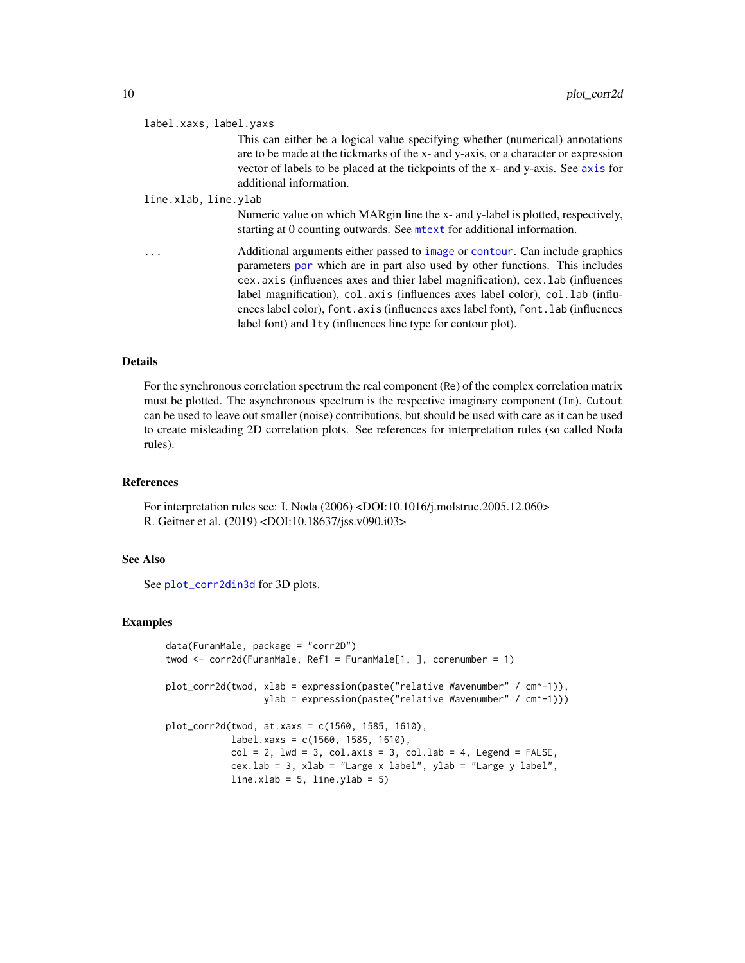<span id="page-9-0"></span>

| label.xaxs, label.yaxs |                                                                                                                                                                                                                                                                                                                                                                                                                                                                                        |
|------------------------|----------------------------------------------------------------------------------------------------------------------------------------------------------------------------------------------------------------------------------------------------------------------------------------------------------------------------------------------------------------------------------------------------------------------------------------------------------------------------------------|
|                        | This can either be a logical value specifying whether (numerical) annotations<br>are to be made at the tickmarks of the x- and y-axis, or a character or expression<br>vector of labels to be placed at the tickpoints of the x- and y-axis. See axis for<br>additional information.                                                                                                                                                                                                   |
| line.xlab, line.ylab   |                                                                                                                                                                                                                                                                                                                                                                                                                                                                                        |
|                        | Numeric value on which MARgin line the x- and y-label is plotted, respectively,<br>starting at 0 counting outwards. See mett for additional information.                                                                                                                                                                                                                                                                                                                               |
| .                      | Additional arguments either passed to image or contour. Can include graphics<br>parameters par which are in part also used by other functions. This includes<br>cex. axis (influences axes and thier label magnification), cex. lab (influences<br>label magnification), col. axis (influences axes label color), col. lab (influ-<br>ences label color), font axis (influences axes label font), font lab (influences<br>label font) and lty (influences line type for contour plot). |

#### Details

For the synchronous correlation spectrum the real component (Re) of the complex correlation matrix must be plotted. The asynchronous spectrum is the respective imaginary component (Im). Cutout can be used to leave out smaller (noise) contributions, but should be used with care as it can be used to create misleading 2D correlation plots. See references for interpretation rules (so called Noda rules).

# References

For interpretation rules see: I. Noda (2006) <DOI:10.1016/j.molstruc.2005.12.060> R. Geitner et al. (2019) <DOI:10.18637/jss.v090.i03>

#### See Also

See [plot\\_corr2din3d](#page-10-1) for 3D plots.

# Examples

```
data(FuranMale, package = "corr2D")
twod \le corr2d(FuranMale, Ref1 = FuranMale[1, ], corenumber = 1)
plot_corr2d(twod, xlab = expression(paste("relative Wavenumber" / cm^-1)),
                  ylab = expression(paste("relative Wavenumber" / cm^-1)))
plot_corr2d(twod, at.xaxs = c(1560, 1585, 1610),
            label.xaxs = c(1560, 1585, 1610),
            col = 2, 1wd = 3, col.axis = 3, col.lab = 4, Legend = FALSE,
            cex.lab = 3, xlab = "Large x label", ylab = "Large y label",
            line.xlab = 5, line.ylab = 5
```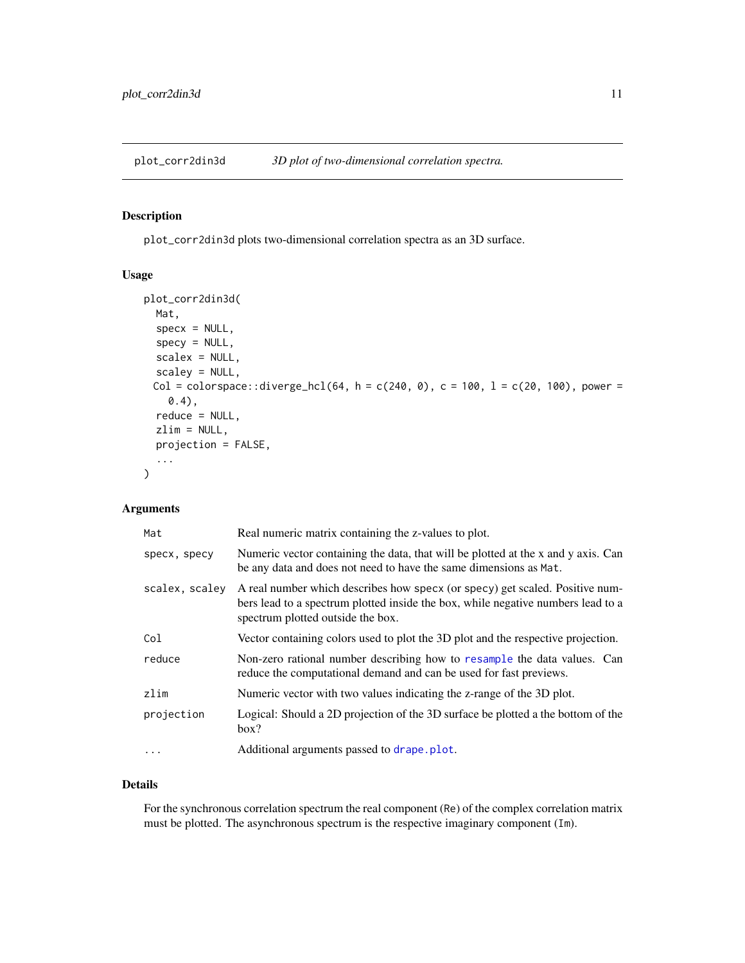<span id="page-10-1"></span><span id="page-10-0"></span>plot\_corr2din3d *3D plot of two-dimensional correlation spectra.*

#### Description

plot\_corr2din3d plots two-dimensional correlation spectra as an 3D surface.

# Usage

```
plot_corr2din3d(
 Mat,
  specx = NULL,specy = NULL,scalex = NULL,
  scaley = NULL,
 Col = colorspace::diverge_hcl(64, h = c(240, 0), c = 100, l = c(20, 100), power =0.4),
  reduce = NULL,
  zlim = NULL,
 projection = FALSE,
  ...
)
```
# Arguments

| Mat            | Real numeric matrix containing the z-values to plot.                                                                                                                                                  |
|----------------|-------------------------------------------------------------------------------------------------------------------------------------------------------------------------------------------------------|
| specx, specy   | Numeric vector containing the data, that will be plotted at the x and y axis. Can<br>be any data and does not need to have the same dimensions as Mat.                                                |
| scalex, scaley | A real number which describes how specx (or specy) get scaled. Positive num-<br>bers lead to a spectrum plotted inside the box, while negative numbers lead to a<br>spectrum plotted outside the box. |
| Col            | Vector containing colors used to plot the 3D plot and the respective projection.                                                                                                                      |
| reduce         | Non-zero rational number describing how to resample the data values. Can<br>reduce the computational demand and can be used for fast previews.                                                        |
| zlim           | Numeric vector with two values indicating the z-range of the 3D plot.                                                                                                                                 |
| projection     | Logical: Should a 2D projection of the 3D surface be plotted a the bottom of the<br>box?                                                                                                              |
| $\ddotsc$      | Additional arguments passed to drape.plot.                                                                                                                                                            |

#### Details

For the synchronous correlation spectrum the real component (Re) of the complex correlation matrix must be plotted. The asynchronous spectrum is the respective imaginary component (Im).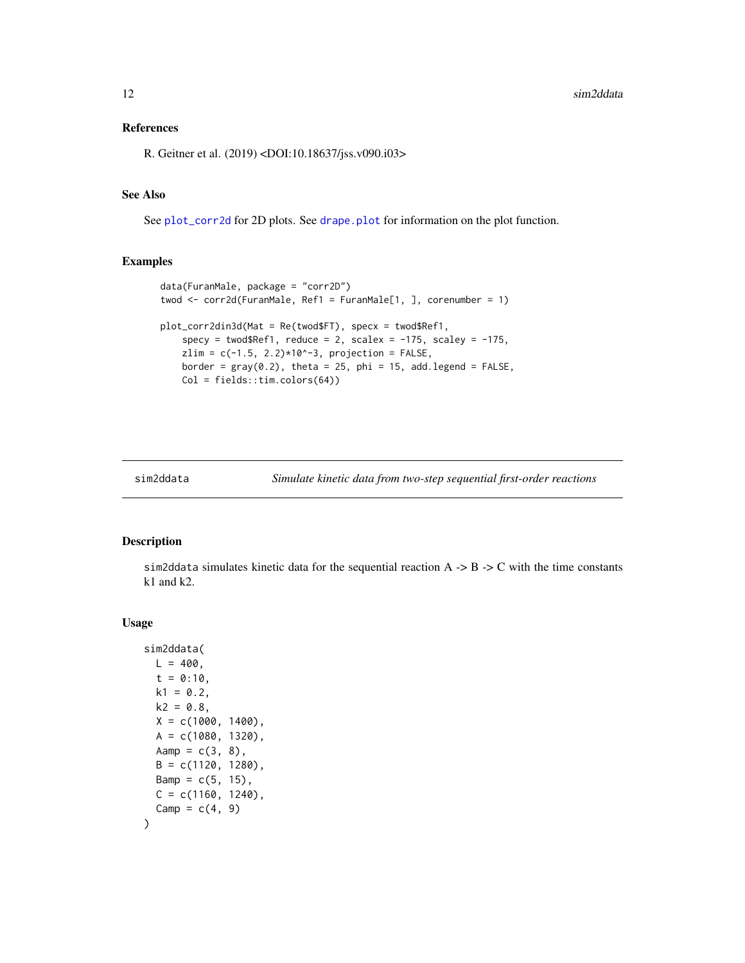# <span id="page-11-0"></span>References

R. Geitner et al. (2019) <DOI:10.18637/jss.v090.i03>

# See Also

See [plot\\_corr2d](#page-7-1) for 2D plots. See [drape.plot](#page-0-0) for information on the plot function.

# Examples

```
data(FuranMale, package = "corr2D")
twod <- corr2d(FuranMale, Ref1 = FuranMale[1, ], corenumber = 1)
plot_corr2din3d(Mat = Re(twod$FT), specx = twod$Ref1,
    specy = twod$Ref1, reduce = 2, scalex = -175, scaley = -175,zlim = c(-1.5, 2.2)*10^{x}-3, projection = FALSE,
    border = gray(0.2), theta = 25, phi = 15, add.legend = FALSE,
    Col = fields::tim.colors(64))
```
sim2ddata *Simulate kinetic data from two-step sequential first-order reactions*

#### Description

sim2ddata simulates kinetic data for the sequential reaction  $A \rightarrow B \rightarrow C$  with the time constants k1 and k2.

#### Usage

```
sim2ddata(
 L = 400,
  t = 0:10,
 k1 = 0.2,
 k2 = 0.8,
 X = c(1000, 1400),
 A = c(1080, 1320),
 Aamp = c(3, 8),
 B = c(1120, 1280),
 Bamp = c(5, 15),
 C = c(1160, 1240),
  Camp = c(4, 9))
```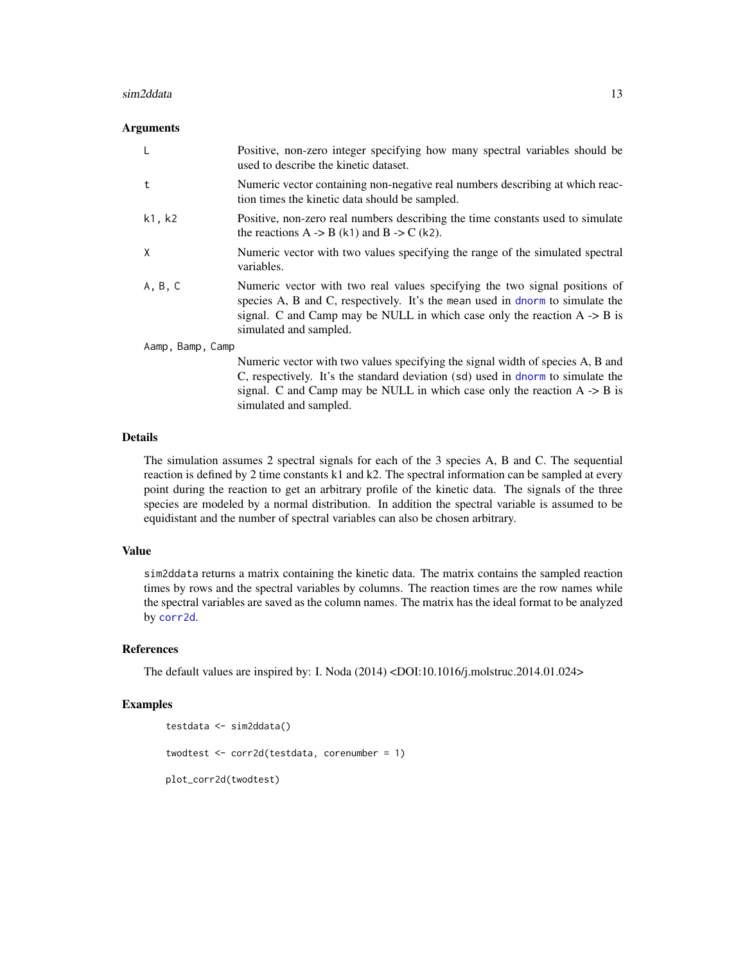#### <span id="page-12-0"></span>sim2ddata 13

#### **Arguments**

| -L      | Positive, non-zero integer specifying how many spectral variables should be<br>used to describe the kinetic dataset.                                                                                                                                                         |  |  |  |  |  |  |
|---------|------------------------------------------------------------------------------------------------------------------------------------------------------------------------------------------------------------------------------------------------------------------------------|--|--|--|--|--|--|
| t       | Numeric vector containing non-negative real numbers describing at which reac-<br>tion times the kinetic data should be sampled.                                                                                                                                              |  |  |  |  |  |  |
| k1, k2  | Positive, non-zero real numbers describing the time constants used to simulate<br>the reactions A $\rightarrow$ B (k1) and B $\rightarrow$ C (k2).                                                                                                                           |  |  |  |  |  |  |
| X       | Numeric vector with two values specifying the range of the simulated spectral<br>variables.                                                                                                                                                                                  |  |  |  |  |  |  |
| A, B, C | Numeric vector with two real values specifying the two signal positions of<br>species A, B and C, respectively. It's the mean used in dnorm to simulate the<br>signal. C and Camp may be NULL in which case only the reaction $A \rightarrow B$ is<br>simulated and sampled. |  |  |  |  |  |  |
|         | Aamp, Bamp, Camp                                                                                                                                                                                                                                                             |  |  |  |  |  |  |
|         | Numeric vector with two values specifying the signal width of species A, B and<br>C, respectively. It's the standard deviation (sd) used in dnorm to simulate the<br>signal. C and Camp may be NULL in which case only the reaction $A \rightarrow B$ is                     |  |  |  |  |  |  |

#### **Details**

The simulation assumes 2 spectral signals for each of the 3 species A, B and C. The sequential reaction is defined by 2 time constants k1 and k2. The spectral information can be sampled at every point during the reaction to get an arbitrary profile of the kinetic data. The signals of the three species are modeled by a normal distribution. In addition the spectral variable is assumed to be equidistant and the number of spectral variables can also be chosen arbitrary.

### Value

sim2ddata returns a matrix containing the kinetic data. The matrix contains the sampled reaction times by rows and the spectral variables by columns. The reaction times are the row names while the spectral variables are saved as the column names. The matrix has the ideal format to be analyzed by [corr2d](#page-3-1).

# References

The default values are inspired by: I. Noda (2014) <DOI:10.1016/j.molstruc.2014.01.024>

#### Examples

```
testdata <- sim2ddata()
twodtest <- corr2d(testdata, corenumber = 1)
plot_corr2d(twodtest)
```
simulated and sampled.